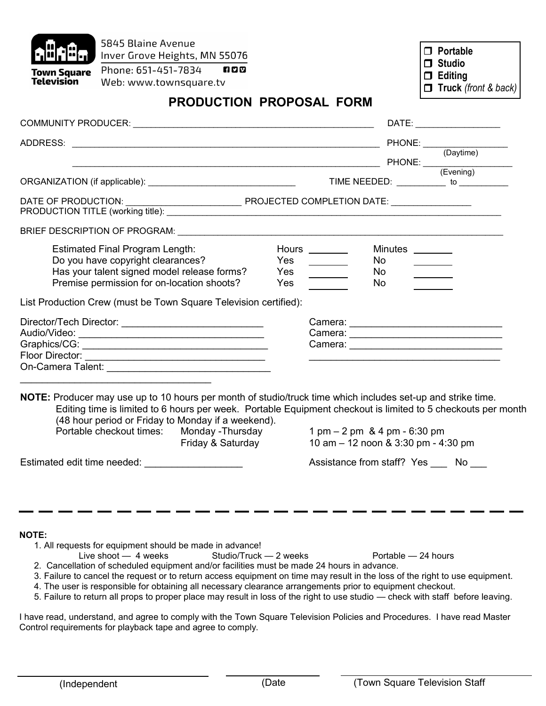| 5845 Blaine Avenue<br>Phone: 651-451-7834<br>Town Square<br>Television<br>Web: www.townsquare.tv                                                                                                                                                                                                                                                                                                                                                                                                                                                                                                                                                                                                             | Inver Grove Heights, MN 55076<br>600  |                   |                                                                        |                                     | $\Box$ Portable<br>$\Box$ Studio<br>$\Box$ Editing<br>$\Box$ Truck (front & back)                                                                                                                                              |
|--------------------------------------------------------------------------------------------------------------------------------------------------------------------------------------------------------------------------------------------------------------------------------------------------------------------------------------------------------------------------------------------------------------------------------------------------------------------------------------------------------------------------------------------------------------------------------------------------------------------------------------------------------------------------------------------------------------|---------------------------------------|-------------------|------------------------------------------------------------------------|-------------------------------------|--------------------------------------------------------------------------------------------------------------------------------------------------------------------------------------------------------------------------------|
|                                                                                                                                                                                                                                                                                                                                                                                                                                                                                                                                                                                                                                                                                                              | <b>PRODUCTION PROPOSAL FORM</b>       |                   |                                                                        |                                     |                                                                                                                                                                                                                                |
|                                                                                                                                                                                                                                                                                                                                                                                                                                                                                                                                                                                                                                                                                                              |                                       |                   |                                                                        |                                     | DATE: the contract of the contract of the contract of the contract of the contract of the contract of the contract of the contract of the contract of the contract of the contract of the contract of the contract of the cont |
| ADDRESS: PHONE: (Daytime)<br>PHONE: (Daytime)<br>FHONE: (Evening)                                                                                                                                                                                                                                                                                                                                                                                                                                                                                                                                                                                                                                            |                                       |                   |                                                                        |                                     |                                                                                                                                                                                                                                |
|                                                                                                                                                                                                                                                                                                                                                                                                                                                                                                                                                                                                                                                                                                              |                                       |                   |                                                                        |                                     |                                                                                                                                                                                                                                |
|                                                                                                                                                                                                                                                                                                                                                                                                                                                                                                                                                                                                                                                                                                              |                                       |                   |                                                                        |                                     |                                                                                                                                                                                                                                |
|                                                                                                                                                                                                                                                                                                                                                                                                                                                                                                                                                                                                                                                                                                              |                                       |                   |                                                                        |                                     |                                                                                                                                                                                                                                |
| <b>Estimated Final Program Length:</b><br>Do you have copyright clearances?<br>Has your talent signed model release forms?<br>Premise permission for on-location shoots?                                                                                                                                                                                                                                                                                                                                                                                                                                                                                                                                     |                                       | Yes<br>Yes<br>Yes | Hours _________<br><u> 1999 - Jan Jawa</u><br>$\overline{\phantom{a}}$ | Minutes ________<br>No.<br>No<br>No |                                                                                                                                                                                                                                |
| List Production Crew (must be Town Square Television certified):                                                                                                                                                                                                                                                                                                                                                                                                                                                                                                                                                                                                                                             |                                       |                   |                                                                        |                                     |                                                                                                                                                                                                                                |
|                                                                                                                                                                                                                                                                                                                                                                                                                                                                                                                                                                                                                                                                                                              |                                       |                   |                                                                        |                                     |                                                                                                                                                                                                                                |
| NOTE: Producer may use up to 10 hours per month of studio/truck time which includes set-up and strike time.<br>Editing time is limited to 6 hours per week. Portable Equipment checkout is limited to 5 checkouts per month<br>(48 hour period or Friday to Monday if a weekend).<br>Portable checkout times:<br>Estimated edit time needed:                                                                                                                                                                                                                                                                                                                                                                 | Monday -Thursday<br>Friday & Saturday |                   | 1 pm - 2 pm & 4 pm - 6:30 pm<br>10 am - 12 noon & 3:30 pm - 4:30 pm    |                                     | Assistance from staff? Yes No                                                                                                                                                                                                  |
| <b>NOTE:</b><br>1. All requests for equipment should be made in advance!<br>Live shoot $-4$ weeks<br>2. Cancellation of scheduled equipment and/or facilities must be made 24 hours in advance.<br>3. Failure to cancel the request or to return access equipment on time may result in the loss of the right to use equipment.<br>4. The user is responsible for obtaining all necessary clearance arrangements prior to equipment checkout.<br>5. Failure to return all props to proper place may result in loss of the right to use studio — check with staff before leaving.<br>I have read, understand, and agree to comply with the Town Square Television Policies and Procedures. I have read Master | Studio/Truck - 2 weeks                |                   |                                                                        | Portable - 24 hours                 |                                                                                                                                                                                                                                |